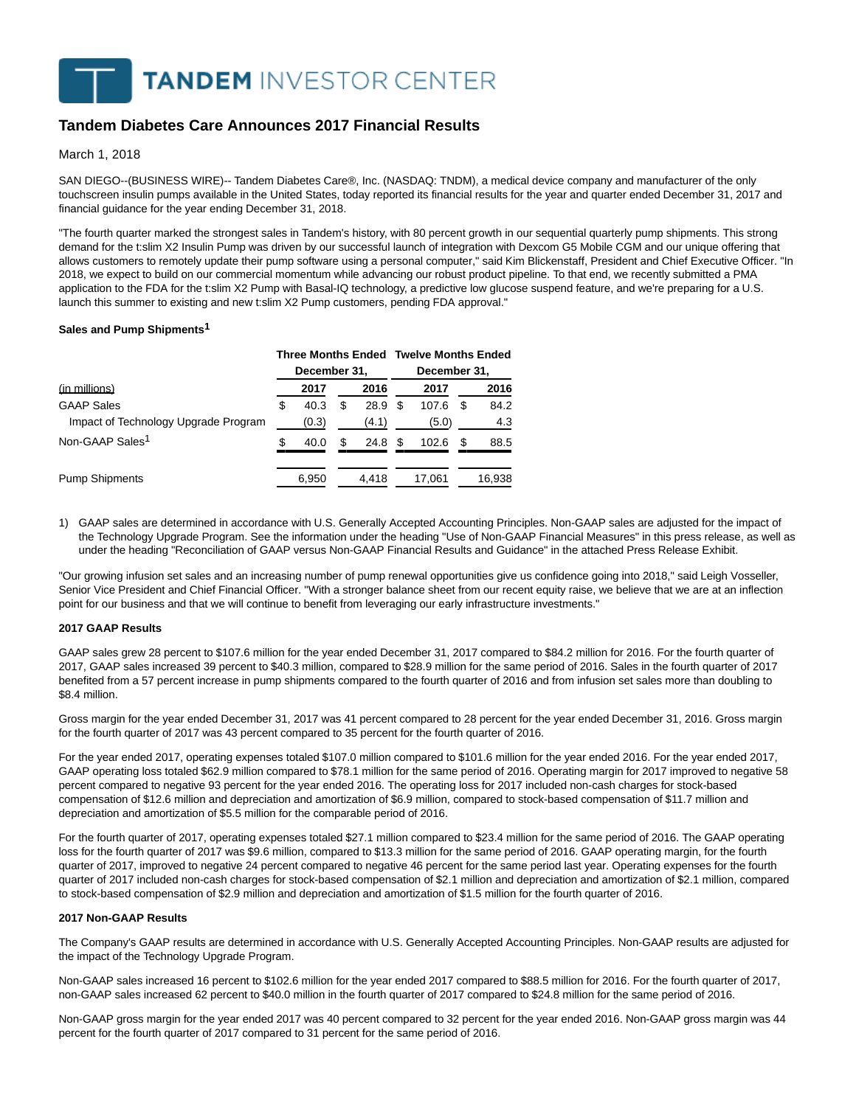**TANDEM INVESTOR CENTER** 

# **Tandem Diabetes Care Announces 2017 Financial Results**

March 1, 2018

SAN DIEGO--(BUSINESS WIRE)-- Tandem Diabetes Care®, Inc. (NASDAQ: TNDM), a medical device company and manufacturer of the only touchscreen insulin pumps available in the United States, today reported its financial results for the year and quarter ended December 31, 2017 and financial guidance for the year ending December 31, 2018.

"The fourth quarter marked the strongest sales in Tandem's history, with 80 percent growth in our sequential quarterly pump shipments. This strong demand for the t:slim X2 Insulin Pump was driven by our successful launch of integration with Dexcom G5 Mobile CGM and our unique offering that allows customers to remotely update their pump software using a personal computer," said Kim Blickenstaff, President and Chief Executive Officer. "In 2018, we expect to build on our commercial momentum while advancing our robust product pipeline. To that end, we recently submitted a PMA application to the FDA for the t:slim X2 Pump with Basal-IQ technology, a predictive low glucose suspend feature, and we're preparing for a U.S. launch this summer to existing and new t:slim X2 Pump customers, pending FDA approval."

### **Sales and Pump Shipments1**

|                                      |   |              |   |       |              | Three Months Ended Twelve Months Ended |     |        |  |  |
|--------------------------------------|---|--------------|---|-------|--------------|----------------------------------------|-----|--------|--|--|
|                                      |   | December 31, |   |       | December 31, |                                        |     |        |  |  |
| <u>(in millions)</u>                 |   | 2017         |   | 2016  |              | 2017                                   |     | 2016   |  |  |
| <b>GAAP Sales</b>                    | S | 40.3         | S | 28.9  | \$.          | 107.6                                  | \$. | 84.2   |  |  |
| Impact of Technology Upgrade Program |   | (0.3)        |   | (4.1) |              | (5.0)                                  |     | 4.3    |  |  |
| Non-GAAP Sales <sup>1</sup>          | S | 40.0         | S | 24.8  | S            | 102.6                                  | S   | 88.5   |  |  |
| <b>Pump Shipments</b>                |   | 6,950        |   | 4.418 |              | 17.061                                 |     | 16,938 |  |  |

1) GAAP sales are determined in accordance with U.S. Generally Accepted Accounting Principles. Non-GAAP sales are adjusted for the impact of the Technology Upgrade Program. See the information under the heading "Use of Non-GAAP Financial Measures" in this press release, as well as under the heading "Reconciliation of GAAP versus Non-GAAP Financial Results and Guidance" in the attached Press Release Exhibit.

"Our growing infusion set sales and an increasing number of pump renewal opportunities give us confidence going into 2018," said Leigh Vosseller, Senior Vice President and Chief Financial Officer. "With a stronger balance sheet from our recent equity raise, we believe that we are at an inflection point for our business and that we will continue to benefit from leveraging our early infrastructure investments."

# **2017 GAAP Results**

GAAP sales grew 28 percent to \$107.6 million for the year ended December 31, 2017 compared to \$84.2 million for 2016. For the fourth quarter of 2017, GAAP sales increased 39 percent to \$40.3 million, compared to \$28.9 million for the same period of 2016. Sales in the fourth quarter of 2017 benefited from a 57 percent increase in pump shipments compared to the fourth quarter of 2016 and from infusion set sales more than doubling to \$8.4 million.

Gross margin for the year ended December 31, 2017 was 41 percent compared to 28 percent for the year ended December 31, 2016. Gross margin for the fourth quarter of 2017 was 43 percent compared to 35 percent for the fourth quarter of 2016.

For the year ended 2017, operating expenses totaled \$107.0 million compared to \$101.6 million for the year ended 2016. For the year ended 2017, GAAP operating loss totaled \$62.9 million compared to \$78.1 million for the same period of 2016. Operating margin for 2017 improved to negative 58 percent compared to negative 93 percent for the year ended 2016. The operating loss for 2017 included non-cash charges for stock-based compensation of \$12.6 million and depreciation and amortization of \$6.9 million, compared to stock-based compensation of \$11.7 million and depreciation and amortization of \$5.5 million for the comparable period of 2016.

For the fourth quarter of 2017, operating expenses totaled \$27.1 million compared to \$23.4 million for the same period of 2016. The GAAP operating loss for the fourth quarter of 2017 was \$9.6 million, compared to \$13.3 million for the same period of 2016. GAAP operating margin, for the fourth quarter of 2017, improved to negative 24 percent compared to negative 46 percent for the same period last year. Operating expenses for the fourth quarter of 2017 included non-cash charges for stock-based compensation of \$2.1 million and depreciation and amortization of \$2.1 million, compared to stock-based compensation of \$2.9 million and depreciation and amortization of \$1.5 million for the fourth quarter of 2016.

#### **2017 Non-GAAP Results**

The Company's GAAP results are determined in accordance with U.S. Generally Accepted Accounting Principles. Non-GAAP results are adjusted for the impact of the Technology Upgrade Program.

Non-GAAP sales increased 16 percent to \$102.6 million for the year ended 2017 compared to \$88.5 million for 2016. For the fourth quarter of 2017, non-GAAP sales increased 62 percent to \$40.0 million in the fourth quarter of 2017 compared to \$24.8 million for the same period of 2016.

Non-GAAP gross margin for the year ended 2017 was 40 percent compared to 32 percent for the year ended 2016. Non-GAAP gross margin was 44 percent for the fourth quarter of 2017 compared to 31 percent for the same period of 2016.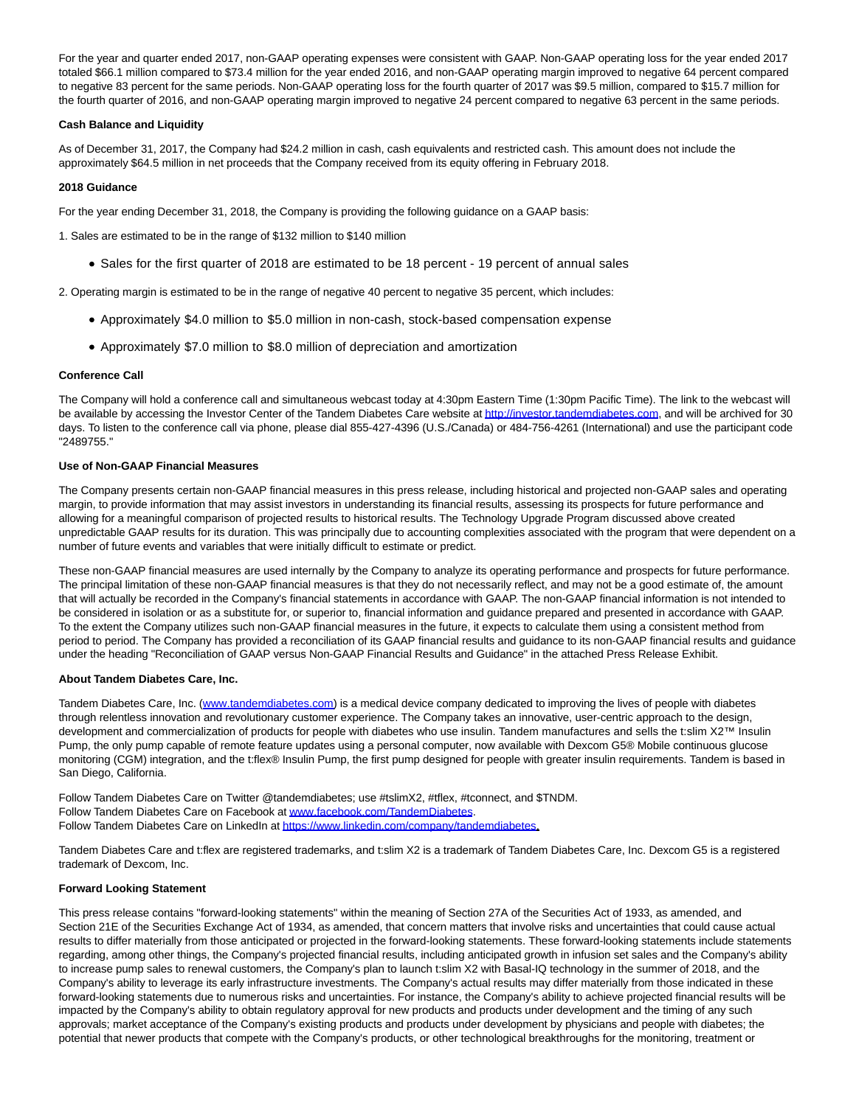For the year and quarter ended 2017, non-GAAP operating expenses were consistent with GAAP. Non-GAAP operating loss for the year ended 2017 totaled \$66.1 million compared to \$73.4 million for the year ended 2016, and non-GAAP operating margin improved to negative 64 percent compared to negative 83 percent for the same periods. Non-GAAP operating loss for the fourth quarter of 2017 was \$9.5 million, compared to \$15.7 million for the fourth quarter of 2016, and non-GAAP operating margin improved to negative 24 percent compared to negative 63 percent in the same periods.

# **Cash Balance and Liquidity**

As of December 31, 2017, the Company had \$24.2 million in cash, cash equivalents and restricted cash. This amount does not include the approximately \$64.5 million in net proceeds that the Company received from its equity offering in February 2018.

# **2018 Guidance**

For the year ending December 31, 2018, the Company is providing the following guidance on a GAAP basis:

1. Sales are estimated to be in the range of \$132 million to \$140 million

• Sales for the first quarter of 2018 are estimated to be 18 percent - 19 percent of annual sales

2. Operating margin is estimated to be in the range of negative 40 percent to negative 35 percent, which includes:

- Approximately \$4.0 million to \$5.0 million in non-cash, stock-based compensation expense
- Approximately \$7.0 million to \$8.0 million of depreciation and amortization

# **Conference Call**

The Company will hold a conference call and simultaneous webcast today at 4:30pm Eastern Time (1:30pm Pacific Time). The link to the webcast will be available by accessing the Investor Center of the Tandem Diabetes Care website a[t http://investor.tandemdiabetes.com,](http://cts.businesswire.com/ct/CT?id=smartlink&url=http%3A%2F%2Finvestor.tandemdiabetes.com&esheet=51766666&newsitemid=20180301006453&lan=en-US&anchor=http%3A%2F%2Finvestor.tandemdiabetes.com&index=1&md5=319bf2232a0ab4c649e0a70325e7e459) and will be archived for 30 days. To listen to the conference call via phone, please dial 855-427-4396 (U.S./Canada) or 484-756-4261 (International) and use the participant code "2489755."

# **Use of Non-GAAP Financial Measures**

The Company presents certain non-GAAP financial measures in this press release, including historical and projected non-GAAP sales and operating margin, to provide information that may assist investors in understanding its financial results, assessing its prospects for future performance and allowing for a meaningful comparison of projected results to historical results. The Technology Upgrade Program discussed above created unpredictable GAAP results for its duration. This was principally due to accounting complexities associated with the program that were dependent on a number of future events and variables that were initially difficult to estimate or predict.

These non-GAAP financial measures are used internally by the Company to analyze its operating performance and prospects for future performance. The principal limitation of these non-GAAP financial measures is that they do not necessarily reflect, and may not be a good estimate of, the amount that will actually be recorded in the Company's financial statements in accordance with GAAP. The non-GAAP financial information is not intended to be considered in isolation or as a substitute for, or superior to, financial information and guidance prepared and presented in accordance with GAAP. To the extent the Company utilizes such non-GAAP financial measures in the future, it expects to calculate them using a consistent method from period to period. The Company has provided a reconciliation of its GAAP financial results and guidance to its non-GAAP financial results and guidance under the heading "Reconciliation of GAAP versus Non-GAAP Financial Results and Guidance" in the attached Press Release Exhibit.

# **About Tandem Diabetes Care, Inc.**

Tandem Diabetes Care, Inc. [\(www.tandemdiabetes.com\)](http://cts.businesswire.com/ct/CT?id=smartlink&url=http%3A%2F%2Fwww.tandemdiabetes.com&esheet=51766666&newsitemid=20180301006453&lan=en-US&anchor=www.tandemdiabetes.com&index=2&md5=843d3d1ef9650eb5e4c4c88a7b9e8b04) is a medical device company dedicated to improving the lives of people with diabetes through relentless innovation and revolutionary customer experience. The Company takes an innovative, user-centric approach to the design, development and commercialization of products for people with diabetes who use insulin. Tandem manufactures and sells the t:slim X2™ Insulin Pump, the only pump capable of remote feature updates using a personal computer, now available with Dexcom G5® Mobile continuous glucose monitoring (CGM) integration, and the t:flex® Insulin Pump, the first pump designed for people with greater insulin requirements. Tandem is based in San Diego, California.

Follow Tandem Diabetes Care on Twitter @tandemdiabetes; use #tslimX2, #tflex, #tconnect, and \$TNDM. Follow Tandem Diabetes Care on Facebook a[t www.facebook.com/TandemDiabetes.](http://cts.businesswire.com/ct/CT?id=smartlink&url=http%3A%2F%2Fwww.facebook.com%2FTandemDiabetes&esheet=51766666&newsitemid=20180301006453&lan=en-US&anchor=www.facebook.com%2FTandemDiabetes&index=3&md5=383823118384ad1c2393b83e36270c43) Follow Tandem Diabetes Care on LinkedIn a[t https://www.linkedin.com/company/tandemdiabetes.](http://cts.businesswire.com/ct/CT?id=smartlink&url=https%3A%2F%2Fwww.linkedin.com%2Fcompany%2Ftandemdiabetes&esheet=51766666&newsitemid=20180301006453&lan=en-US&anchor=https%3A%2F%2Fwww.linkedin.com%2Fcompany%2Ftandemdiabetes&index=4&md5=b7e341e869e1e19752e51cf3714f566c)

Tandem Diabetes Care and t:flex are registered trademarks, and t:slim X2 is a trademark of Tandem Diabetes Care, Inc. Dexcom G5 is a registered trademark of Dexcom, Inc.

# **Forward Looking Statement**

This press release contains "forward-looking statements" within the meaning of Section 27A of the Securities Act of 1933, as amended, and Section 21E of the Securities Exchange Act of 1934, as amended, that concern matters that involve risks and uncertainties that could cause actual results to differ materially from those anticipated or projected in the forward-looking statements. These forward-looking statements include statements regarding, among other things, the Company's projected financial results, including anticipated growth in infusion set sales and the Company's ability to increase pump sales to renewal customers, the Company's plan to launch t:slim X2 with Basal-IQ technology in the summer of 2018, and the Company's ability to leverage its early infrastructure investments. The Company's actual results may differ materially from those indicated in these forward-looking statements due to numerous risks and uncertainties. For instance, the Company's ability to achieve projected financial results will be impacted by the Company's ability to obtain regulatory approval for new products and products under development and the timing of any such approvals; market acceptance of the Company's existing products and products under development by physicians and people with diabetes; the potential that newer products that compete with the Company's products, or other technological breakthroughs for the monitoring, treatment or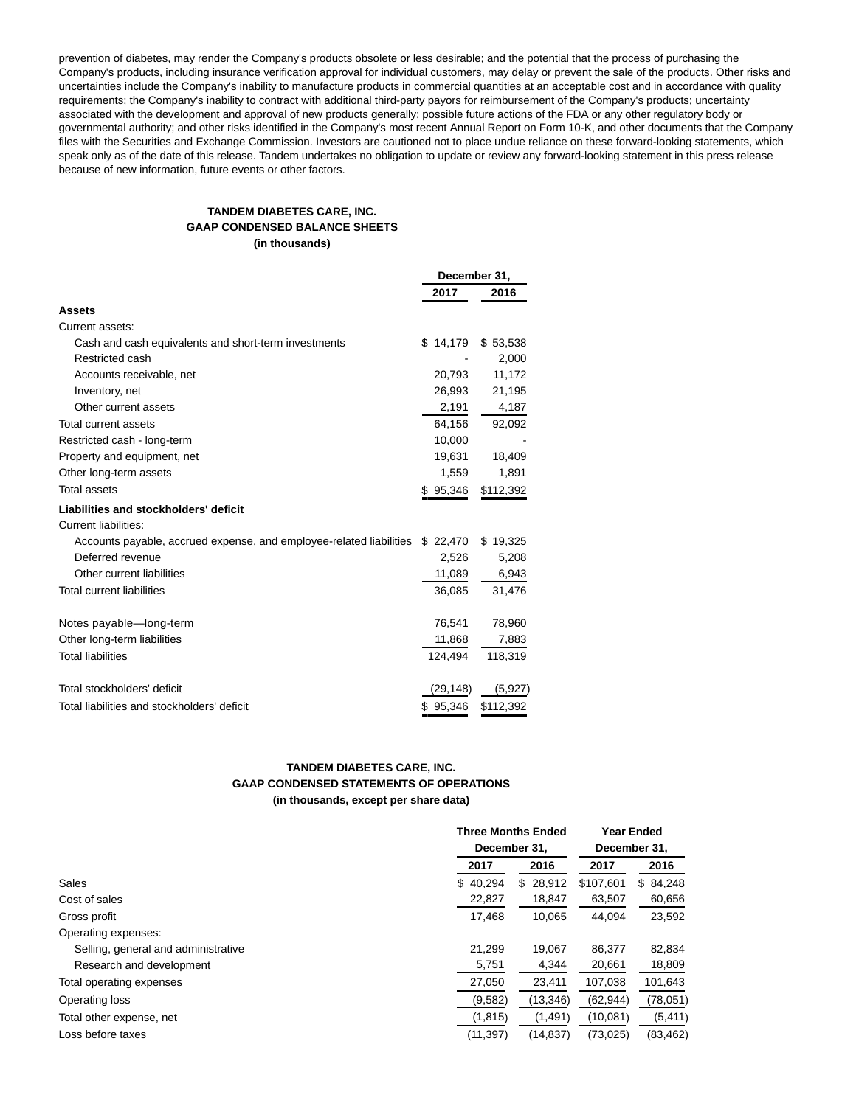prevention of diabetes, may render the Company's products obsolete or less desirable; and the potential that the process of purchasing the Company's products, including insurance verification approval for individual customers, may delay or prevent the sale of the products. Other risks and uncertainties include the Company's inability to manufacture products in commercial quantities at an acceptable cost and in accordance with quality requirements; the Company's inability to contract with additional third-party payors for reimbursement of the Company's products; uncertainty associated with the development and approval of new products generally; possible future actions of the FDA or any other regulatory body or governmental authority; and other risks identified in the Company's most recent Annual Report on Form 10-K, and other documents that the Company files with the Securities and Exchange Commission. Investors are cautioned not to place undue reliance on these forward-looking statements, which speak only as of the date of this release. Tandem undertakes no obligation to update or review any forward-looking statement in this press release because of new information, future events or other factors.

# **TANDEM DIABETES CARE, INC. GAAP CONDENSED BALANCE SHEETS (in thousands)**

|                                                                     | December 31, |           |
|---------------------------------------------------------------------|--------------|-----------|
|                                                                     | 2017         | 2016      |
| <b>Assets</b>                                                       |              |           |
| Current assets:                                                     |              |           |
| Cash and cash equivalents and short-term investments                | \$14,179     | \$53,538  |
| Restricted cash                                                     |              | 2,000     |
| Accounts receivable, net                                            | 20,793       | 11,172    |
| Inventory, net                                                      | 26,993       | 21,195    |
| Other current assets                                                | 2,191        | 4,187     |
| <b>Total current assets</b>                                         | 64,156       | 92,092    |
| Restricted cash - long-term                                         | 10,000       |           |
| Property and equipment, net                                         | 19,631       | 18,409    |
| Other long-term assets                                              | 1,559        | 1,891     |
| <b>Total assets</b>                                                 | \$95,346     | \$112,392 |
| Liabilities and stockholders' deficit                               |              |           |
| <b>Current liabilities:</b>                                         |              |           |
| Accounts payable, accrued expense, and employee-related liabilities | \$ 22,470    | \$19,325  |
| Deferred revenue                                                    | 2,526        | 5,208     |
| Other current liabilities                                           | 11,089       | 6,943     |
| <b>Total current liabilities</b>                                    | 36,085       | 31,476    |
| Notes payable-long-term                                             | 76,541       | 78,960    |
| Other long-term liabilities                                         | 11,868       | 7,883     |
| <b>Total liabilities</b>                                            | 124,494      | 118,319   |
| Total stockholders' deficit                                         | (29, 148)    | (5,927)   |
| Total liabilities and stockholders' deficit                         | \$95,346     | \$112,392 |

# **TANDEM DIABETES CARE, INC. GAAP CONDENSED STATEMENTS OF OPERATIONS**

**(in thousands, except per share data)**

|                                     |           | <b>Three Months Ended</b> | <b>Year Ended</b> |              |  |
|-------------------------------------|-----------|---------------------------|-------------------|--------------|--|
|                                     |           | December 31,              | December 31,      |              |  |
|                                     | 2017      | 2016                      | 2017              | 2016         |  |
| Sales                               | \$40.294  | 28,912<br>\$.             | \$107.601         | 84,248<br>S. |  |
| Cost of sales                       | 22,827    | 18,847                    | 63,507            | 60,656       |  |
| Gross profit                        | 17,468    | 10.065                    | 44.094            | 23,592       |  |
| Operating expenses:                 |           |                           |                   |              |  |
| Selling, general and administrative | 21,299    | 19.067                    | 86,377            | 82,834       |  |
| Research and development            | 5,751     | 4,344                     | 20,661            | 18,809       |  |
| Total operating expenses            | 27,050    | 23,411                    | 107,038           | 101,643      |  |
| Operating loss                      | (9,582)   | (13, 346)                 | (62, 944)         | (78,051)     |  |
| Total other expense, net            | (1, 815)  | (1,491)                   | (10,081)          | (5, 411)     |  |
| Loss before taxes                   | (11, 397) | (14, 837)                 | (73,025)          | (83, 462)    |  |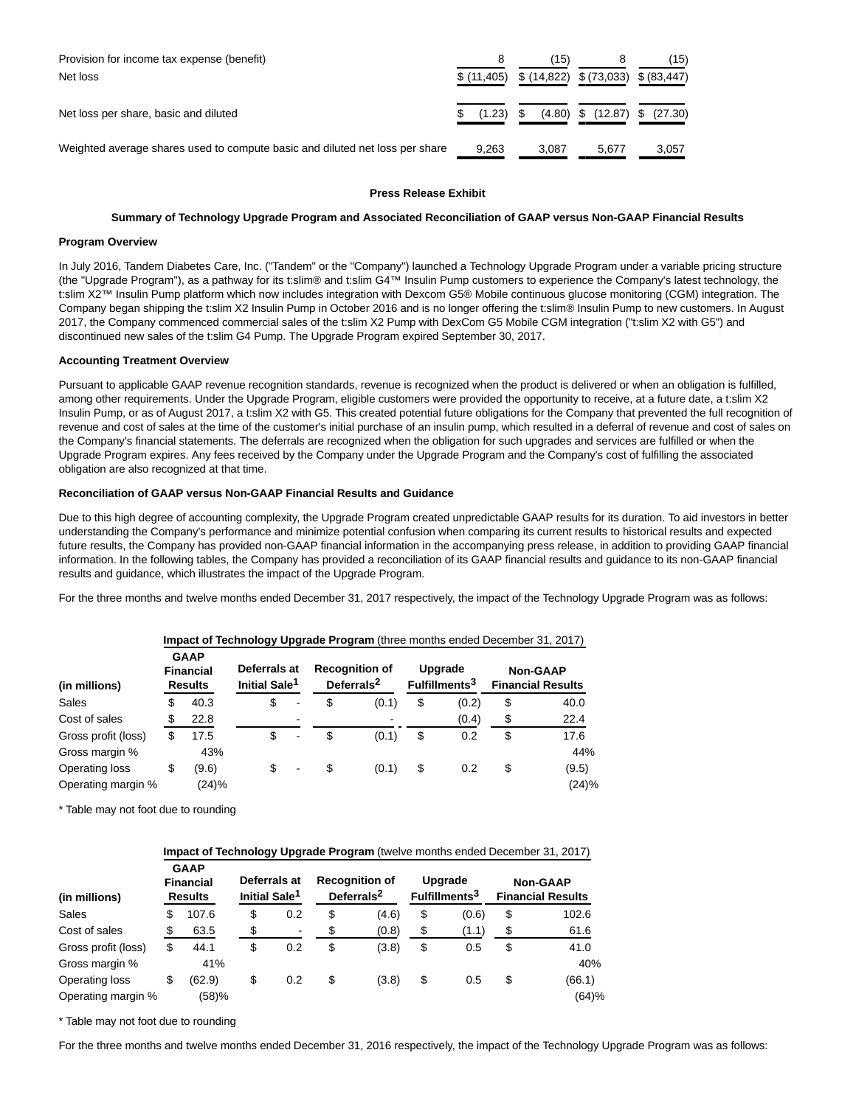| Provision for income tax expense (benefit)<br>Net loss                       | $$$ (11,405) $$$ (14,822) $$$ (73,033) $$$ (83,447) | (15)  |       | (15)                               |
|------------------------------------------------------------------------------|-----------------------------------------------------|-------|-------|------------------------------------|
| Net loss per share, basic and diluted                                        | (1.23)                                              |       |       | $(4.80)$ \$ $(12.87)$ \$ $(27.30)$ |
| Weighted average shares used to compute basic and diluted net loss per share | 9.263                                               | 3.087 | 5.677 | 3.057                              |

# **Press Release Exhibit**

# **Summary of Technology Upgrade Program and Associated Reconciliation of GAAP versus Non-GAAP Financial Results**

## **Program Overview**

In July 2016, Tandem Diabetes Care, Inc. ("Tandem" or the "Company") launched a Technology Upgrade Program under a variable pricing structure (the "Upgrade Program"), as a pathway for its t:slim® and t:slim G4™ Insulin Pump customers to experience the Company's latest technology, the t:slim X2™ Insulin Pump platform which now includes integration with Dexcom G5® Mobile continuous glucose monitoring (CGM) integration. The Company began shipping the t:slim X2 Insulin Pump in October 2016 and is no longer offering the t:slim® Insulin Pump to new customers. In August 2017, the Company commenced commercial sales of the t:slim X2 Pump with DexCom G5 Mobile CGM integration ("t:slim X2 with G5") and discontinued new sales of the t:slim G4 Pump. The Upgrade Program expired September 30, 2017.

## **Accounting Treatment Overview**

Pursuant to applicable GAAP revenue recognition standards, revenue is recognized when the product is delivered or when an obligation is fulfilled, among other requirements. Under the Upgrade Program, eligible customers were provided the opportunity to receive, at a future date, a t:slim X2 Insulin Pump, or as of August 2017, a t:slim X2 with G5. This created potential future obligations for the Company that prevented the full recognition of revenue and cost of sales at the time of the customer's initial purchase of an insulin pump, which resulted in a deferral of revenue and cost of sales on the Company's financial statements. The deferrals are recognized when the obligation for such upgrades and services are fulfilled or when the Upgrade Program expires. Any fees received by the Company under the Upgrade Program and the Company's cost of fulfilling the associated obligation are also recognized at that time.

# **Reconciliation of GAAP versus Non-GAAP Financial Results and Guidance**

Due to this high degree of accounting complexity, the Upgrade Program created unpredictable GAAP results for its duration. To aid investors in better understanding the Company's performance and minimize potential confusion when comparing its current results to historical results and expected future results, the Company has provided non-GAAP financial information in the accompanying press release, in addition to providing GAAP financial information. In the following tables, the Company has provided a reconciliation of its GAAP financial results and guidance to its non-GAAP financial results and guidance, which illustrates the impact of the Upgrade Program.

For the three months and twelve months ended December 31, 2017 respectively, the impact of the Technology Upgrade Program was as follows:

| (in millions)       | <b>GAAP</b><br><b>Financial</b><br><b>Results</b> |       | Deferrals at<br>Initial Sale <sup>1</sup> |   | <b>Recognition of</b> | Deferrals <sup>2</sup>   | Upgrade<br>Fulfillments <sup>3</sup> | <b>Non-GAAP</b><br><b>Financial Results</b> |
|---------------------|---------------------------------------------------|-------|-------------------------------------------|---|-----------------------|--------------------------|--------------------------------------|---------------------------------------------|
| Sales               | \$                                                | 40.3  | \$                                        | ۰ | \$                    | (0.1)                    | \$<br>(0.2)                          | \$<br>40.0                                  |
| Cost of sales       |                                                   | 22.8  |                                           | - |                       | $\overline{\phantom{0}}$ | (0.4)                                | \$<br>22.4                                  |
| Gross profit (loss) | \$                                                | 17.5  | \$                                        | ٠ | \$                    | (0.1)                    | \$<br>0.2                            | \$<br>17.6                                  |
| Gross margin %      |                                                   | 43%   |                                           |   |                       |                          |                                      | 44%                                         |
| Operating loss      | \$                                                | (9.6) | \$                                        |   | \$                    | (0.1)                    | \$<br>0.2                            | \$<br>(9.5)                                 |
| Operating margin %  |                                                   | (24)% |                                           |   |                       |                          |                                      | (24)%                                       |

#### **Impact of Technology Upgrade Program** (three months ended December 31, 2017)

\* Table may not foot due to rounding

|                     | Impact of Technology Upgrade Program (twelve months ended December 31, 2017) |        |    |     |                                           |       |                                                 |       |                                      |        |  |                                             |  |
|---------------------|------------------------------------------------------------------------------|--------|----|-----|-------------------------------------------|-------|-------------------------------------------------|-------|--------------------------------------|--------|--|---------------------------------------------|--|
| (in millions)       | <b>GAAP</b><br><b>Financial</b><br><b>Results</b>                            |        |    |     | Deferrals at<br>Initial Sale <sup>1</sup> |       | <b>Recognition of</b><br>Deferrals <sup>2</sup> |       | Upgrade<br>Fulfillments <sup>3</sup> |        |  | <b>Non-GAAP</b><br><b>Financial Results</b> |  |
| Sales               | \$                                                                           | 107.6  | \$ | 0.2 | \$                                        | (4.6) | \$                                              | (0.6) | \$                                   | 102.6  |  |                                             |  |
| Cost of sales       |                                                                              | 63.5   | \$ |     | \$                                        | (0.8) | \$                                              | (1.1) | \$                                   | 61.6   |  |                                             |  |
| Gross profit (loss) | \$                                                                           | 44.1   | \$ | 0.2 | \$                                        | (3.8) | \$                                              | 0.5   | \$                                   | 41.0   |  |                                             |  |
| Gross margin %      |                                                                              | 41%    |    |     |                                           |       |                                                 |       |                                      | 40%    |  |                                             |  |
| Operating loss      | \$                                                                           | (62.9) | \$ | 0.2 | \$                                        | (3.8) | \$                                              | 0.5   | S                                    | (66.1) |  |                                             |  |
| Operating margin %  |                                                                              | (58)%  |    |     |                                           |       |                                                 |       |                                      | (64)%  |  |                                             |  |

\* Table may not foot due to rounding

For the three months and twelve months ended December 31, 2016 respectively, the impact of the Technology Upgrade Program was as follows: